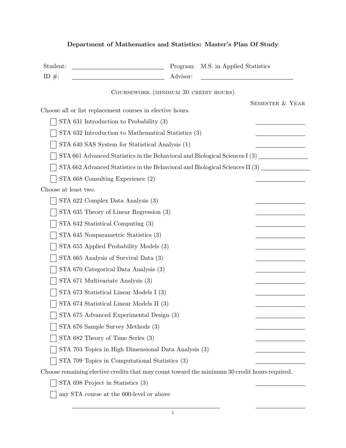| Student:                                                  | M.S. in Applied Statistics<br>Program:                                                        |
|-----------------------------------------------------------|-----------------------------------------------------------------------------------------------|
| ID $\#$ :                                                 | Advisor:                                                                                      |
|                                                           | COURSEWORK (MINIMUM 30 CREDIT HOURS)                                                          |
| Choose all or list replacement courses in elective hours. | SEMESTER & YEAR                                                                               |
| STA 631 Introduction to Probability $(3)$                 |                                                                                               |
|                                                           | STA 632 Introduction to Mathematical Statistics (3)                                           |
|                                                           | STA 640 SAS System for Statistical Analysis (1)                                               |
|                                                           | STA 661 Advanced Statistics in the Behavioral and Biological Sciences I (3)                   |
|                                                           | STA 662 Advanced Statistics in the Behavioral and Biological Sciences II (3)                  |
| STA 668 Consulting Experience (2)                         |                                                                                               |
| Choose at least two.                                      |                                                                                               |
| STA 622 Complex Data Analysis (3)                         |                                                                                               |
| STA 635 Theory of Linear Regression (3)                   |                                                                                               |
| STA 642 Statistical Computing (3)                         |                                                                                               |
| STA 645 Nonparametric Statistics (3)                      |                                                                                               |
| STA 655 Applied Probability Models (3)                    |                                                                                               |
| STA 665 Analysis of Survival Data (3)                     |                                                                                               |
| STA 670 Categorical Data Analysis (3)                     |                                                                                               |
| STA 671 Multivariate Analysis (3)                         |                                                                                               |
| STA 673 Statistical Linear Models I (3)                   |                                                                                               |
| STA 674 Statistical Linear Models II (3)                  |                                                                                               |
| STA 675 Advanced Experimental Design (3)                  |                                                                                               |
| STA 676 Sample Survey Methods (3)                         |                                                                                               |
| STA 682 Theory of Time Series (3)                         |                                                                                               |
|                                                           | STA 703 Topics in High Dimensional Data Analysis (3)                                          |
|                                                           | STA 709 Topics in Computational Statistics (3)                                                |
|                                                           | Choose remaining elective credits that may count toward the minimum 30 credit hours required. |
| STA 698 Project in Statistics (3)                         |                                                                                               |
| any STA course at the 600-level or above                  |                                                                                               |

## Department of Mathematics and Statistics: Master's Plan Of Study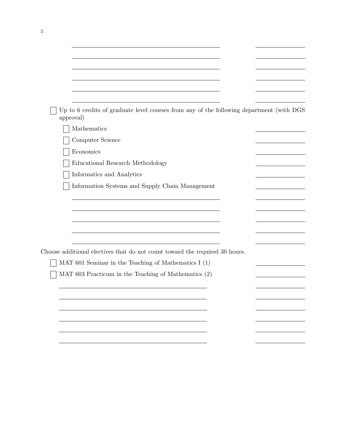| Up to 6 credits of graduate level courses from any of the following department (with DGS<br>approval) |  |
|-------------------------------------------------------------------------------------------------------|--|
| Mathematics                                                                                           |  |
| Computer Science                                                                                      |  |
| Economics                                                                                             |  |
| Educational Research Methodology                                                                      |  |
| Informatics and Analytics                                                                             |  |
| Information Systems and Supply Chain Management                                                       |  |
|                                                                                                       |  |
|                                                                                                       |  |
|                                                                                                       |  |
|                                                                                                       |  |
|                                                                                                       |  |
|                                                                                                       |  |
| Choose additional electives that do not count toward the required 30 hours.                           |  |
| MAT 601 Seminar in the Teaching of Mathematics $I(1)$                                                 |  |
| MAT 603 Practicum in the Teaching of Mathematics (2)                                                  |  |
|                                                                                                       |  |
|                                                                                                       |  |
|                                                                                                       |  |
|                                                                                                       |  |
|                                                                                                       |  |
|                                                                                                       |  |
|                                                                                                       |  |

2